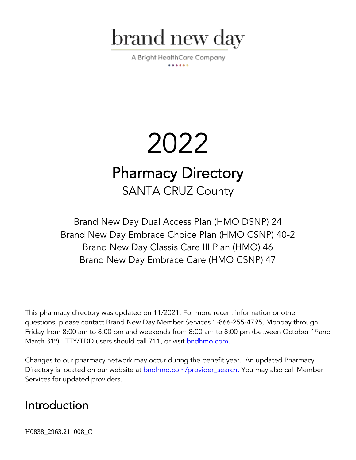

A Bright HealthCare Company

# 2022 Pharmacy Directory SANTA CRUZ County

Brand New Day Dual Access Plan (HMO DSNP) 24 Brand New Day Embrace Choice Plan (HMO CSNP) 40-2 Brand New Day Classis Care III Plan (HMO) 46 Brand New Day Embrace Care (HMO CSNP) 47

This pharmacy directory was updated on 11/2021. For more recent information or other questions, please contact Brand New Day Member Services 1-866-255-4795, Monday through Friday from 8:00 am to 8:00 pm and weekends from 8:00 am to 8:00 pm (between October 1<sup>st</sup> and March 31<sup>st</sup>). TTY/TDD users should call 711, or visit **bndhmo.com**.

Changes to our pharmacy network may occur during the benefit year. An updated Pharmacy Directory is located on our website at **bndhmo.com/provider** search. You may also call Member Services for updated providers.

# Introduction

H0838\_2963.211008\_C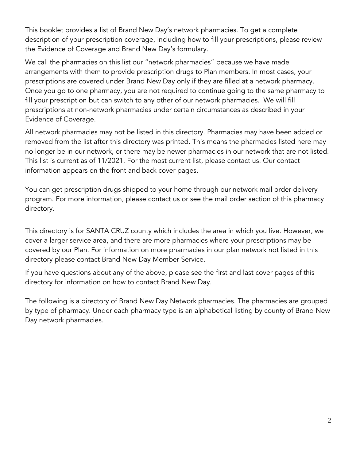This booklet provides a list of Brand New Day's network pharmacies. To get a complete description of your prescription coverage, including how to fill your prescriptions, please review the Evidence of Coverage and Brand New Day's formulary.

We call the pharmacies on this list our "network pharmacies" because we have made arrangements with them to provide prescription drugs to Plan members. In most cases, your prescriptions are covered under Brand New Day only if they are filled at a network pharmacy. Once you go to one pharmacy, you are not required to continue going to the same pharmacy to fill your prescription but can switch to any other of our network pharmacies. We will fill prescriptions at non-network pharmacies under certain circumstances as described in your Evidence of Coverage.

All network pharmacies may not be listed in this directory. Pharmacies may have been added or removed from the list after this directory was printed. This means the pharmacies listed here may no longer be in our network, or there may be newer pharmacies in our network that are not listed. This list is current as of 11/2021. For the most current list, please contact us. Our contact information appears on the front and back cover pages.

You can get prescription drugs shipped to your home through our network mail order delivery program. For more information, please contact us or see the mail order section of this pharmacy directory.

This directory is for SANTA CRUZ county which includes the area in which you live. However, we cover a larger service area, and there are more pharmacies where your prescriptions may be covered by our Plan. For information on more pharmacies in our plan network not listed in this directory please contact Brand New Day Member Service.

If you have questions about any of the above, please see the first and last cover pages of this directory for information on how to contact Brand New Day.

The following is a directory of Brand New Day Network pharmacies. The pharmacies are grouped by type of pharmacy. Under each pharmacy type is an alphabetical listing by county of Brand New Day network pharmacies.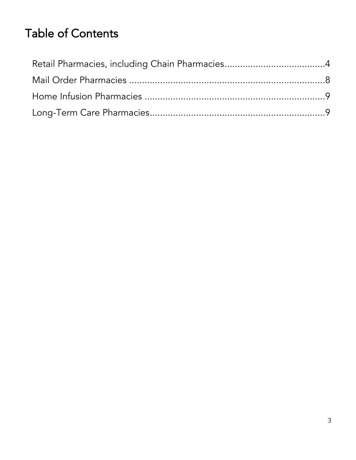# Table of Contents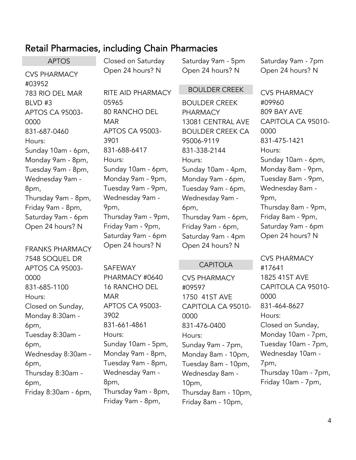### <span id="page-3-0"></span>Retail Pharmacies, including Chain Pharmacies

APTOS CVS PHARMACY #03952 783 RIO DEL MAR BLVD #3 APTOS CA 95003- 0000 831-687-0460 Hours: Sunday 10am - 6pm, Monday 9am - 8pm, Tuesday 9am - 8pm, Wednesday 9am - 8pm, Thursday 9am - 8pm, Friday 9am - 8pm, Saturday 9am - 6pm Open 24 hours? N

FRANKS PHARMACY 7548 SOQUEL DR APTOS CA 95003- 0000 831-685-1100 Hours: Closed on Sunday, Monday 8:30am - 6pm, Tuesday 8:30am - 6pm, Wednesday 8:30am - 6pm, Thursday 8:30am - 6pm, Friday 8:30am - 6pm, Closed on Saturday Open 24 hours? N RITE AID PHARMACY 05965 80 RANCHO DEL MAR APTOS CA 95003- 3901

831-688-6417 Hours: Sunday 10am - 6pm, Monday 9am - 9pm, Tuesday 9am - 9pm, Wednesday 9am - 9pm, Thursday 9am - 9pm, Friday 9am - 9pm, Saturday 9am - 6pm Open 24 hours? N

SAFEWAY PHARMACY #0640 16 RANCHO DEL MAR APTOS CA 95003- 3902 831-661-4861 Hours: Sunday 10am - 5pm, Monday 9am - 8pm, Tuesday 9am - 8pm, Wednesday 9am - 8pm, Thursday 9am - 8pm, Friday 9am - 8pm,

Saturday 9am - 5pm Open 24 hours? N

Saturday 9am - 7pm Open 24 hours? N

#### BOULDER CREEK

BOULDER CREEK PHARMACY 13081 CENTRAL AVE BOULDER CREEK CA 95006-9119 831-338-2144 Hours: Sunday 10am - 4pm, Monday 9am - 6pm, Tuesday 9am - 6pm, Wednesday 9am - 6pm, Thursday 9am - 6pm, Friday 9am - 6pm, Saturday 9am - 4pm Open 24 hours? N

#### CAPITOLA

CVS PHARMACY #09597 1750 41ST AVE CAPITOLA CA 95010- 0000 831-476-0400 Hours: Sunday 9am - 7pm, Monday 8am - 10pm, Tuesday 8am - 10pm, Wednesday 8am - 10pm, Thursday 8am - 10pm, Friday 8am - 10pm,

CVS PHARMACY #09960 809 BAY AVE CAPITOLA CA 95010- 0000 831-475-1421 Hours: Sunday 10am - 6pm, Monday 8am - 9pm, Tuesday 8am - 9pm, Wednesday 8am - 9pm, Thursday 8am - 9pm, Friday 8am - 9pm, Saturday 9am - 6pm Open 24 hours? N

CVS PHARMACY #17641 1825 41ST AVE CAPITOLA CA 95010- 0000 831-464-8627 Hours: Closed on Sunday, Monday 10am - 7pm, Tuesday 10am - 7pm, Wednesday 10am - 7pm, Thursday 10am - 7pm, Friday 10am - 7pm,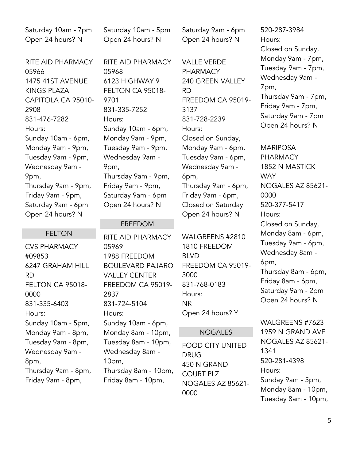Saturday 10am - 7pm Open 24 hours? N

RITE AID PHARMACY 05966 1475 41ST AVENUE KINGS PLAZA CAPITOLA CA 95010- 2908 831-476-7282 Hours: Sunday 10am - 6pm, Monday 9am - 9pm, Tuesday 9am - 9pm, Wednesday 9am - 9pm, Thursday 9am - 9pm, Friday 9am - 9pm, Saturday 9am - 6pm Open 24 hours? N

#### FELTON

CVS PHARMACY #09853 6247 GRAHAM HILL RD FELTON CA 95018- 0000 831-335-6403 Hours: Sunday 10am - 5pm, Monday 9am - 8pm, Tuesday 9am - 8pm, Wednesday 9am - 8pm, Thursday 9am - 8pm, Friday 9am - 8pm,

Saturday 10am - 5pm Open 24 hours? N

RITE AID PHARMACY 05968 6123 HIGHWAY 9 FELTON CA 95018- 9701 831-335-7252 Hours: Sunday 10am - 6pm, Monday 9am - 9pm, Tuesday 9am - 9pm, Wednesday 9am - 9pm, Thursday 9am - 9pm, Friday 9am - 9pm, Saturday 9am - 6pm Open 24 hours? N

#### FREEDOM

RITE AID PHARMACY 05969 1988 FREEDOM BOULEVARD PAJARO VALLEY CENTER FREEDOM CA 95019- 2837 831-724-5104 Hours: Sunday 10am - 6pm, Monday 8am - 10pm, Tuesday 8am - 10pm, Wednesday 8am - 10pm, Thursday 8am - 10pm, Friday 8am - 10pm,

Saturday 9am - 6pm Open 24 hours? N

VALLE VERDE PHARMACY 240 GREEN VALLEY RD FREEDOM CA 95019- 3137 831-728-2239 Hours: Closed on Sunday, Monday 9am - 6pm, Tuesday 9am - 6pm, Wednesday 9am - 6pm, Thursday 9am - 6pm, Friday 9am - 6pm, Closed on Saturday Open 24 hours? N

WALGREENS #2810 1810 FREEDOM BLVD FREEDOM CA 95019- 3000 831-768-0183 Hours: NR Open 24 hours? Y

#### NOGALES

FOOD CITY UNITED DRUG 450 N GRAND COURT PLZ NOGALES AZ 85621- 0000

520-287-3984 Hours: Closed on Sunday, Monday 9am - 7pm, Tuesday 9am - 7pm, Wednesday 9am - 7pm, Thursday 9am - 7pm, Friday 9am - 7pm, Saturday 9am - 7pm Open 24 hours? N

MARIPOSA PHARMACY 1852 N MASTICK **WAY** NOGALES AZ 85621- 0000 520-377-5417 Hours: Closed on Sunday, Monday 8am - 6pm, Tuesday 9am - 6pm, Wednesday 8am - 6pm, Thursday 8am - 6pm, Friday 8am - 6pm, Saturday 9am - 2pm Open 24 hours? N

WALGREENS #7623 1959 N GRAND AVE NOGALES AZ 85621- 1341 520-281-4398 Hours: Sunday 9am - 5pm, Monday 8am - 10pm, Tuesday 8am - 10pm,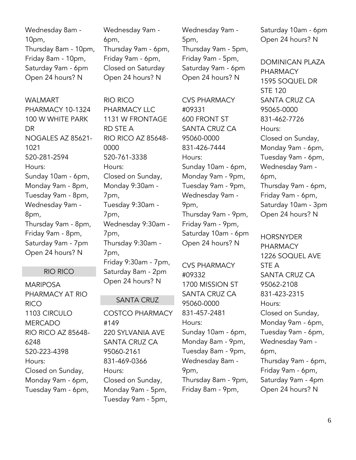Wednesday 8am - 10pm, Thursday 8am - 10pm, Friday 8am - 10pm, Saturday 9am - 6pm Open 24 hours? N

WAI MART PHARMACY 10-1324 100 W WHITE PARK DR NOGALES AZ 85621- 1021 520-281-2594 Hours: Sunday 10am - 6pm, Monday 9am - 8pm, Tuesday 9am - 8pm, Wednesday 9am - 8pm, Thursday 9am - 8pm, Friday 9am - 8pm, Saturday 9am - 7pm Open 24 hours? N

#### RIO RICO

MARIPOSA PHARMACY AT RIO RICO 1103 CIRCULO **MERCADO** RIO RICO AZ 85648- 6248 520-223-4398 Hours: Closed on Sunday, Monday 9am - 6pm, Tuesday 9am - 6pm,

Wednesday 9am - 6pm, Thursday 9am - 6pm, Friday 9am - 6pm, Closed on Saturday Open 24 hours? N

RIO RICO PHARMACY LLC 1131 W FRONTAGE RD STE A RIO RICO AZ 85648- 0000 520-761-3338 Hours: Closed on Sunday, Monday 9:30am - 7pm, Tuesday 9:30am - 7pm, Wednesday 9:30am - 7pm, Thursday 9:30am - 7pm, Friday 9:30am - 7pm, Saturday 8am - 2pm Open 24 hours? N

#### SANTA CRUZ

COSTCO PHARMACY #149 220 SYLVANIA AVE SANTA CRUZ CA 95060-2161 831-469-0366 Hours: Closed on Sunday, Monday 9am - 5pm, Tuesday 9am - 5pm,

Wednesday 9am - 5pm, Thursday 9am - 5pm, Friday 9am - 5pm, Saturday 9am - 6pm Open 24 hours? N

CVS PHARMACY #09331 600 FRONT ST SANTA CRUZ CA 95060-0000 831-426-7444 Hours: Sunday 10am - 6pm, Monday 9am - 9pm, Tuesday 9am - 9pm, Wednesday 9am - 9pm, Thursday 9am - 9pm, Friday 9am - 9pm, Saturday 10am - 6pm Open 24 hours? N

CVS PHARMACY #09332 1700 MISSION ST SANTA CRUZ CA 95060-0000 831-457-2481 Hours: Sunday 10am - 6pm, Monday 8am - 9pm, Tuesday 8am - 9pm, Wednesday 8am - 9pm, Thursday 8am - 9pm, Friday 8am - 9pm,

Saturday 10am - 6pm Open 24 hours? N

DOMINICAN PLAZA PHARMACY 1595 SOQUEL DR STE 120 SANTA CRUZ CA 95065-0000 831-462-7726 Hours: Closed on Sunday, Monday 9am - 6pm, Tuesday 9am - 6pm, Wednesday 9am - 6pm, Thursday 9am - 6pm, Friday 9am - 6pm, Saturday 10am - 3pm Open 24 hours? N

**HORSNYDER** PHARMACY 1226 SOQUEL AVE STE A SANTA CRUZ CA 95062-2108 831-423-2315 Hours: Closed on Sunday, Monday 9am - 6pm, Tuesday 9am - 6pm, Wednesday 9am - 6pm, Thursday 9am - 6pm, Friday 9am - 6pm, Saturday 9am - 4pm Open 24 hours? N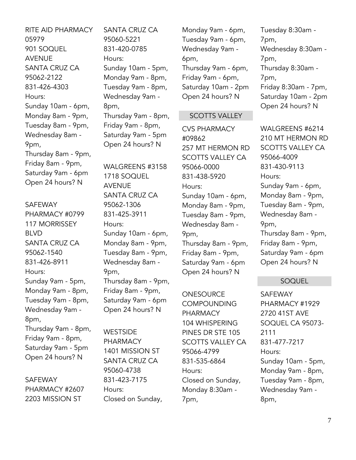RITE AID PHARMACY 05979 901 SOQUEL AVENUE SANTA CRUZ CA 95062-2122 831-426-4303 Hours: Sunday 10am - 6pm, Monday 8am - 9pm, Tuesday 8am - 9pm, Wednesday 8am - 9pm, Thursday 8am - 9pm, Friday 8am - 9pm, Saturday 9am - 6pm Open 24 hours? N

SAFEWAY PHARMACY #0799 117 MORRISSEY BLVD SANTA CRUZ CA 95062-1540 831-426-8911 Hours: Sunday 9am - 5pm, Monday 9am - 8pm, Tuesday 9am - 8pm, Wednesday 9am - 8pm, Thursday 9am - 8pm, Friday 9am - 8pm, Saturday 9am - 5pm Open 24 hours? N

SAFEWAY PHARMACY #2607 2203 MISSION ST

SANTA CRUZ CA 95060-5221 831-420-0785 Hours: Sunday 10am - 5pm, Monday 9am - 8pm, Tuesday 9am - 8pm, Wednesday 9am - 8pm, Thursday 9am - 8pm, Friday 9am - 8pm, Saturday 9am - 5pm Open 24 hours? N

WALGREENS #3158 1718 SOQUEL AVENUE SANTA CRUZ CA 95062-1306 831-425-3911 Hours: Sunday 10am - 6pm, Monday 8am - 9pm, Tuesday 8am - 9pm, Wednesday 8am - 9pm, Thursday 8am - 9pm, Friday 8am - 9pm, Saturday 9am - 6pm Open 24 hours? N

**WESTSIDE** PHARMACY 1401 MISSION ST SANTA CRUZ CA 95060-4738 831-423-7175 Hours: Closed on Sunday,

Monday 9am - 6pm, Tuesday 9am - 6pm, Wednesday 9am - 6pm, Thursday 9am - 6pm, Friday 9am - 6pm, Saturday 10am - 2pm Open 24 hours? N

#### SCOTTS VALLEY

CVS PHARMACY #09862 257 MT HERMON RD SCOTTS VALLEY CA 95066-0000 831-438-5920 Hours: Sunday 10am - 6pm, Monday 8am - 9pm, Tuesday 8am - 9pm, Wednesday 8am - 9pm, Thursday 8am - 9pm, Friday 8am - 9pm, Saturday 9am - 6pm Open 24 hours? N

**ONESOURCE COMPOUNDING** PHARMACY 104 WHISPERING PINES DR STE 105 SCOTTS VALLEY CA 95066-4799 831-535-6864 Hours: Closed on Sunday, Monday 8:30am - 7pm,

Tuesday 8:30am - 7pm, Wednesday 8:30am - 7pm, Thursday 8:30am - 7pm, Friday 8:30am - 7pm, Saturday 10am - 2pm Open 24 hours? N

WAI GRFFNS #6214 210 MT HERMON RD SCOTTS VALLEY CA 95066-4009 831-430-9113 Hours: Sunday 9am - 6pm, Monday 8am - 9pm, Tuesday 8am - 9pm, Wednesday 8am - 9pm, Thursday 8am - 9pm, Friday 8am - 9pm, Saturday 9am - 6pm Open 24 hours? N

#### SOQUEL

SAFEWAY PHARMACY #1929 2720 41ST AVE SOQUEL CA 95073- 2111 831-477-7217 Hours: Sunday 10am - 5pm, Monday 9am - 8pm, Tuesday 9am - 8pm, Wednesday 9am - 8pm,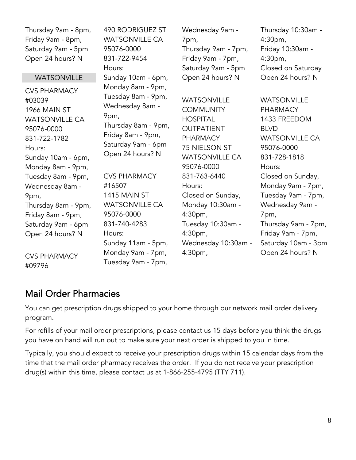| Thursday 9am - 8pm,<br>Friday 9am - 8pm,<br>Saturday 9am - 5pm<br>Open 24 hours? N | <b>490 RODRIGUEZ ST</b><br><b>WATSONVILLE CA</b><br>95076-0000<br>831-722-9454<br>Hours:                                                                 | Wednesday 9am -<br>7pm,<br>Thursday 9am - 7pm,<br>Friday 9am - 7pm,<br>Saturday 9am - 5pm | Thursday 10:30am -<br>$4:30pm$ ,<br>Friday 10:30am -<br>$4:30pm$ ,<br>Closed on Saturday |
|------------------------------------------------------------------------------------|----------------------------------------------------------------------------------------------------------------------------------------------------------|-------------------------------------------------------------------------------------------|------------------------------------------------------------------------------------------|
| <b>WATSONVILLE</b>                                                                 | Sunday 10am - 6pm,                                                                                                                                       | Open 24 hours? N                                                                          | Open 24 hours? N                                                                         |
| <b>CVS PHARMACY</b><br>#03039<br>1966 MAIN ST                                      | Monday 8am - 9pm,<br>Tuesday 8am - 9pm,<br>Wednesday 8am -<br>9pm,<br>Thursday 8am - 9pm,<br>Friday 8am - 9pm,<br>Saturday 9am - 6pm<br>Open 24 hours? N | <b>WATSONVILLE</b><br><b>COMMUNITY</b>                                                    | <b>WATSONVILLE</b><br><b>PHARMACY</b>                                                    |
| <b>WATSONVILLE CA</b><br>95076-0000                                                |                                                                                                                                                          | <b>HOSPITAL</b><br><b>OUTPATIENT</b>                                                      | 1433 FREEDOM<br><b>BLVD</b>                                                              |
| 831-722-1782                                                                       |                                                                                                                                                          | <b>PHARMACY</b>                                                                           | <b>WATSONVILLE CA</b>                                                                    |
| Hours:                                                                             |                                                                                                                                                          | 75 NIELSON ST                                                                             | 95076-0000                                                                               |
| Sunday 10am - 6pm,                                                                 |                                                                                                                                                          | <b>WATSONVILLE CA</b>                                                                     | 831-728-1818                                                                             |
| Monday 8am - 9pm,                                                                  |                                                                                                                                                          | 95076-0000                                                                                | Hours:                                                                                   |
| Tuesday 8am - 9pm,                                                                 | <b>CVS PHARMACY</b>                                                                                                                                      | 831-763-6440                                                                              | Closed on Sunday,                                                                        |
| Wednesday 8am -                                                                    | #16507                                                                                                                                                   | Hours:                                                                                    | Monday 9am - 7pm,                                                                        |
| 9pm,                                                                               | <b>1415 MAIN ST</b>                                                                                                                                      | Closed on Sunday,                                                                         | Tuesday 9am - 7pm,                                                                       |
| Thursday 8am - 9pm,                                                                | <b>WATSONVILLE CA</b>                                                                                                                                    | Monday 10:30am -                                                                          | Wednesday 9am -                                                                          |
| Friday 8am - 9pm,                                                                  | 95076-0000                                                                                                                                               | $4:30pm$ ,                                                                                | 7pm,                                                                                     |
| Saturday 9am - 6pm                                                                 | 831-740-4283                                                                                                                                             | Tuesday 10:30am -                                                                         | Thursday 9am - 7pm,                                                                      |
| Open 24 hours? N                                                                   | Hours:                                                                                                                                                   | $4:30pm$ ,                                                                                | Friday 9am - 7pm,                                                                        |
|                                                                                    | Sunday 11am - 5pm,                                                                                                                                       | Wednesday 10:30am -                                                                       | Saturday 10am - 3pm                                                                      |
| <b>CVS PHARMACY</b><br>40070L                                                      | Monday 9am - 7pm,<br>Tuesday 9am - 7pm,                                                                                                                  | 4:30pm,                                                                                   | Open 24 hours? N                                                                         |

## <span id="page-7-0"></span>Mail Order Pharmacies

#09796

You can get prescription drugs shipped to your home through our network mail order delivery program.

For refills of your mail order prescriptions, please contact us 15 days before you think the drugs you have on hand will run out to make sure your next order is shipped to you in time.

Typically, you should expect to receive your prescription drugs within 15 calendar days from the time that the mail order pharmacy receives the order. If you do not receive your prescription drug(s) within this time, please contact us at 1-866-255-4795 (TTY 711).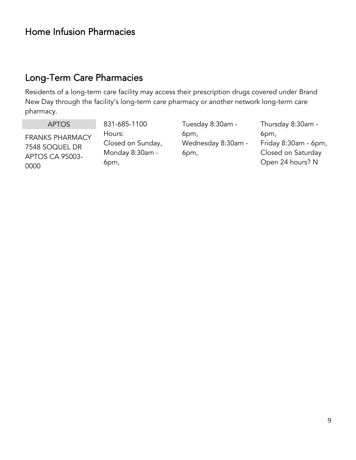# <span id="page-8-0"></span>Home Infusion Pharmacies

## <span id="page-8-1"></span>Long-Term Care Pharmacies

Residents of a long-term care facility may access their prescription drugs covered under Brand New Day through the facility's long-term care pharmacy or another network long-term care pharmacy.

APTOS

FRANKS PHARMACY 7548 SOQUEL DR APTOS CA 95003- 0000

831-685-1100 Hours: Closed on Sunday, Monday 8:30am - 6pm,

Tuesday 8:30am - 6pm, Wednesday 8:30am - 6pm,

Thursday 8:30am - 6pm, Friday 8:30am - 6pm, Closed on Saturday Open 24 hours? N